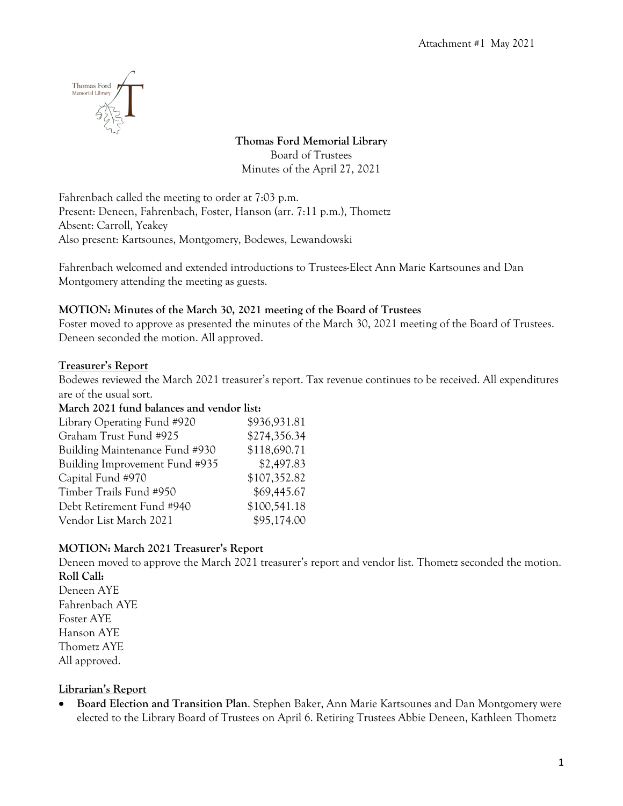

# **Thomas Ford Memorial Library**

Board of Trustees Minutes of the April 27, 2021

Fahrenbach called the meeting to order at 7:03 p.m. Present: Deneen, Fahrenbach, Foster, Hanson (arr. 7:11 p.m.), Thometz Absent: Carroll, Yeakey Also present: Kartsounes, Montgomery, Bodewes, Lewandowski

Fahrenbach welcomed and extended introductions to Trustees-Elect Ann Marie Kartsounes and Dan Montgomery attending the meeting as guests.

# **MOTION: Minutes of the March 30, 2021 meeting of the Board of Trustees**

Foster moved to approve as presented the minutes of the March 30, 2021 meeting of the Board of Trustees. Deneen seconded the motion. All approved.

# **Treasurer's Report**

Bodewes reviewed the March 2021 treasurer's report. Tax revenue continues to be received. All expenditures are of the usual sort.

## **March 2021 fund balances and vendor list:**

| Library Operating Fund #920    | \$936,931.81 |
|--------------------------------|--------------|
| Graham Trust Fund #925         | \$274,356.34 |
| Building Maintenance Fund #930 | \$118,690.71 |
| Building Improvement Fund #935 | \$2,497.83   |
| Capital Fund #970              | \$107,352.82 |
| Timber Trails Fund #950        | \$69,445.67  |
| Debt Retirement Fund #940      | \$100,541.18 |
| Vendor List March 2021         | \$95,174.00  |
|                                |              |

# **MOTION: March 2021 Treasurer's Report**

Deneen moved to approve the March 2021 treasurer's report and vendor list. Thometz seconded the motion. **Roll Call:** Deneen AYE Fahrenbach AYE Foster AYE

Hanson AYE Thometz AYE All approved.

# **Librarian's Report**

• **Board Election and Transition Plan**. Stephen Baker, Ann Marie Kartsounes and Dan Montgomery were elected to the Library Board of Trustees on April 6. Retiring Trustees Abbie Deneen, Kathleen Thometz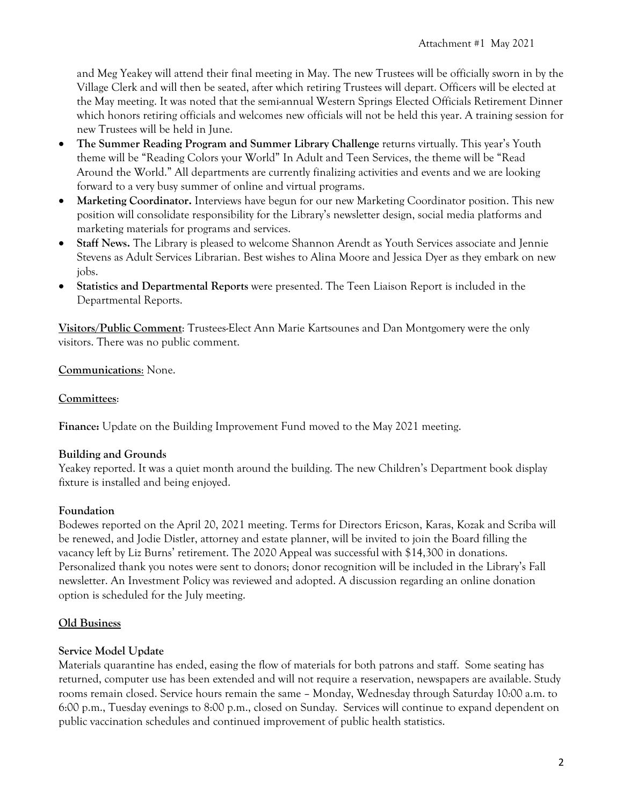and Meg Yeakey will attend their final meeting in May. The new Trustees will be officially sworn in by the Village Clerk and will then be seated, after which retiring Trustees will depart. Officers will be elected at the May meeting. It was noted that the semi-annual Western Springs Elected Officials Retirement Dinner which honors retiring officials and welcomes new officials will not be held this year. A training session for new Trustees will be held in June.

- **The Summer Reading Program and Summer Library Challenge** returns virtually. This year's Youth theme will be "Reading Colors your World" In Adult and Teen Services, the theme will be "Read Around the World." All departments are currently finalizing activities and events and we are looking forward to a very busy summer of online and virtual programs.
- **Marketing Coordinator.** Interviews have begun for our new Marketing Coordinator position. This new position will consolidate responsibility for the Library's newsletter design, social media platforms and marketing materials for programs and services.
- **Staff News.** The Library is pleased to welcome Shannon Arendt as Youth Services associate and Jennie Stevens as Adult Services Librarian. Best wishes to Alina Moore and Jessica Dyer as they embark on new jobs.
- **Statistics and Departmental Reports** were presented. The Teen Liaison Report is included in the Departmental Reports.

**Visitors/Public Comment**: Trustees-Elect Ann Marie Kartsounes and Dan Montgomery were the only visitors. There was no public comment.

#### **Communications**: None.

#### **Committees**:

**Finance:** Update on the Building Improvement Fund moved to the May 2021 meeting.

#### **Building and Grounds**

Yeakey reported. It was a quiet month around the building. The new Children's Department book display fixture is installed and being enjoyed.

## **Foundation**

Bodewes reported on the April 20, 2021 meeting. Terms for Directors Ericson, Karas, Kozak and Scriba will be renewed, and Jodie Distler, attorney and estate planner, will be invited to join the Board filling the vacancy left by Liz Burns' retirement. The 2020 Appeal was successful with \$14,300 in donations. Personalized thank you notes were sent to donors; donor recognition will be included in the Library's Fall newsletter. An Investment Policy was reviewed and adopted. A discussion regarding an online donation option is scheduled for the July meeting.

## **Old Business**

#### **Service Model Update**

Materials quarantine has ended, easing the flow of materials for both patrons and staff. Some seating has returned, computer use has been extended and will not require a reservation, newspapers are available. Study rooms remain closed. Service hours remain the same – Monday, Wednesday through Saturday 10:00 a.m. to 6:00 p.m., Tuesday evenings to 8:00 p.m., closed on Sunday. Services will continue to expand dependent on public vaccination schedules and continued improvement of public health statistics.